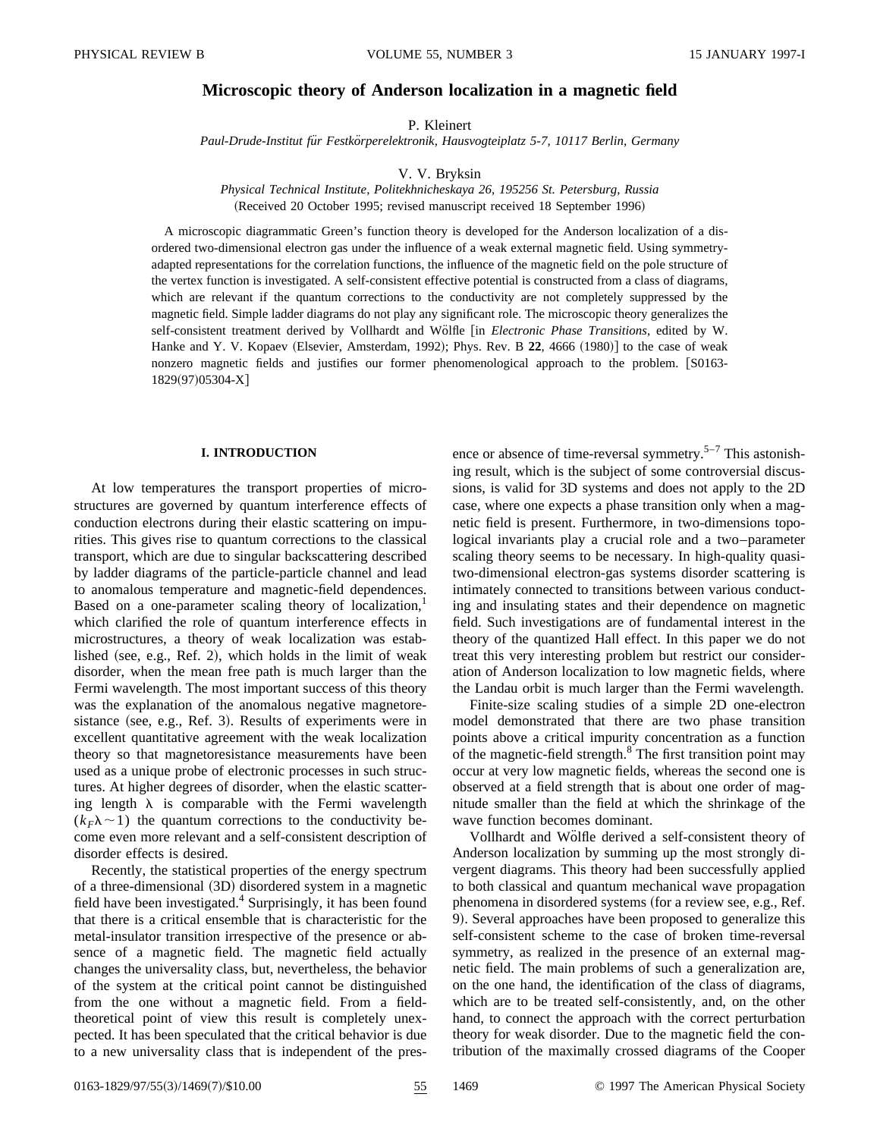# **Microscopic theory of Anderson localization in a magnetic field**

P. Kleinert

*Paul-Drude-Institut fu¨r Festko¨rperelektronik, Hausvogteiplatz 5-7, 10117 Berlin, Germany*

V. V. Bryksin

*Physical Technical Institute, Politekhnicheskaya 26, 195256 St. Petersburg, Russia* (Received 20 October 1995; revised manuscript received 18 September 1996)

A microscopic diagrammatic Green's function theory is developed for the Anderson localization of a disordered two-dimensional electron gas under the influence of a weak external magnetic field. Using symmetryadapted representations for the correlation functions, the influence of the magnetic field on the pole structure of the vertex function is investigated. A self-consistent effective potential is constructed from a class of diagrams, which are relevant if the quantum corrections to the conductivity are not completely suppressed by the magnetic field. Simple ladder diagrams do not play any significant role. The microscopic theory generalizes the self-consistent treatment derived by Vollhardt and Wölfle [in *Electronic Phase Transitions*, edited by W. Hanke and Y. V. Kopaev (Elsevier, Amsterdam, 1992); Phys. Rev. B 22, 4666 (1980)] to the case of weak nonzero magnetic fields and justifies our former phenomenological approach to the problem. [S0163-1829(97)05304-X]

# **I. INTRODUCTION**

At low temperatures the transport properties of microstructures are governed by quantum interference effects of conduction electrons during their elastic scattering on impurities. This gives rise to quantum corrections to the classical transport, which are due to singular backscattering described by ladder diagrams of the particle-particle channel and lead to anomalous temperature and magnetic-field dependences. Based on a one-parameter scaling theory of localization,<sup>1</sup> which clarified the role of quantum interference effects in microstructures, a theory of weak localization was established (see, e.g., Ref. 2), which holds in the limit of weak disorder, when the mean free path is much larger than the Fermi wavelength. The most important success of this theory was the explanation of the anomalous negative magnetoresistance (see, e.g., Ref. 3). Results of experiments were in excellent quantitative agreement with the weak localization theory so that magnetoresistance measurements have been used as a unique probe of electronic processes in such structures. At higher degrees of disorder, when the elastic scattering length  $\lambda$  is comparable with the Fermi wavelength  $(k_F\lambda \sim 1)$  the quantum corrections to the conductivity become even more relevant and a self-consistent description of disorder effects is desired.

Recently, the statistical properties of the energy spectrum of a three-dimensional (3D) disordered system in a magnetic field have been investigated.<sup>4</sup> Surprisingly, it has been found that there is a critical ensemble that is characteristic for the metal-insulator transition irrespective of the presence or absence of a magnetic field. The magnetic field actually changes the universality class, but, nevertheless, the behavior of the system at the critical point cannot be distinguished from the one without a magnetic field. From a fieldtheoretical point of view this result is completely unexpected. It has been speculated that the critical behavior is due to a new universality class that is independent of the presence or absence of time-reversal symmetry.<sup>5–7</sup> This astonishing result, which is the subject of some controversial discussions, is valid for 3D systems and does not apply to the 2D case, where one expects a phase transition only when a magnetic field is present. Furthermore, in two-dimensions topological invariants play a crucial role and a two–parameter scaling theory seems to be necessary. In high-quality quasitwo-dimensional electron-gas systems disorder scattering is intimately connected to transitions between various conducting and insulating states and their dependence on magnetic field. Such investigations are of fundamental interest in the theory of the quantized Hall effect. In this paper we do not treat this very interesting problem but restrict our consideration of Anderson localization to low magnetic fields, where the Landau orbit is much larger than the Fermi wavelength.

Finite-size scaling studies of a simple 2D one-electron model demonstrated that there are two phase transition points above a critical impurity concentration as a function of the magnetic-field strength.<sup>8</sup> The first transition point may occur at very low magnetic fields, whereas the second one is observed at a field strength that is about one order of magnitude smaller than the field at which the shrinkage of the wave function becomes dominant.

Vollhardt and Wölfle derived a self-consistent theory of Anderson localization by summing up the most strongly divergent diagrams. This theory had been successfully applied to both classical and quantum mechanical wave propagation phenomena in disordered systems (for a review see, e.g., Ref. 9). Several approaches have been proposed to generalize this self-consistent scheme to the case of broken time-reversal symmetry, as realized in the presence of an external magnetic field. The main problems of such a generalization are, on the one hand, the identification of the class of diagrams, which are to be treated self-consistently, and, on the other hand, to connect the approach with the correct perturbation theory for weak disorder. Due to the magnetic field the contribution of the maximally crossed diagrams of the Cooper

0163-1829/97/55(3)/1469(7)/\$10.00 55 1469 © 1997 The American Physical Society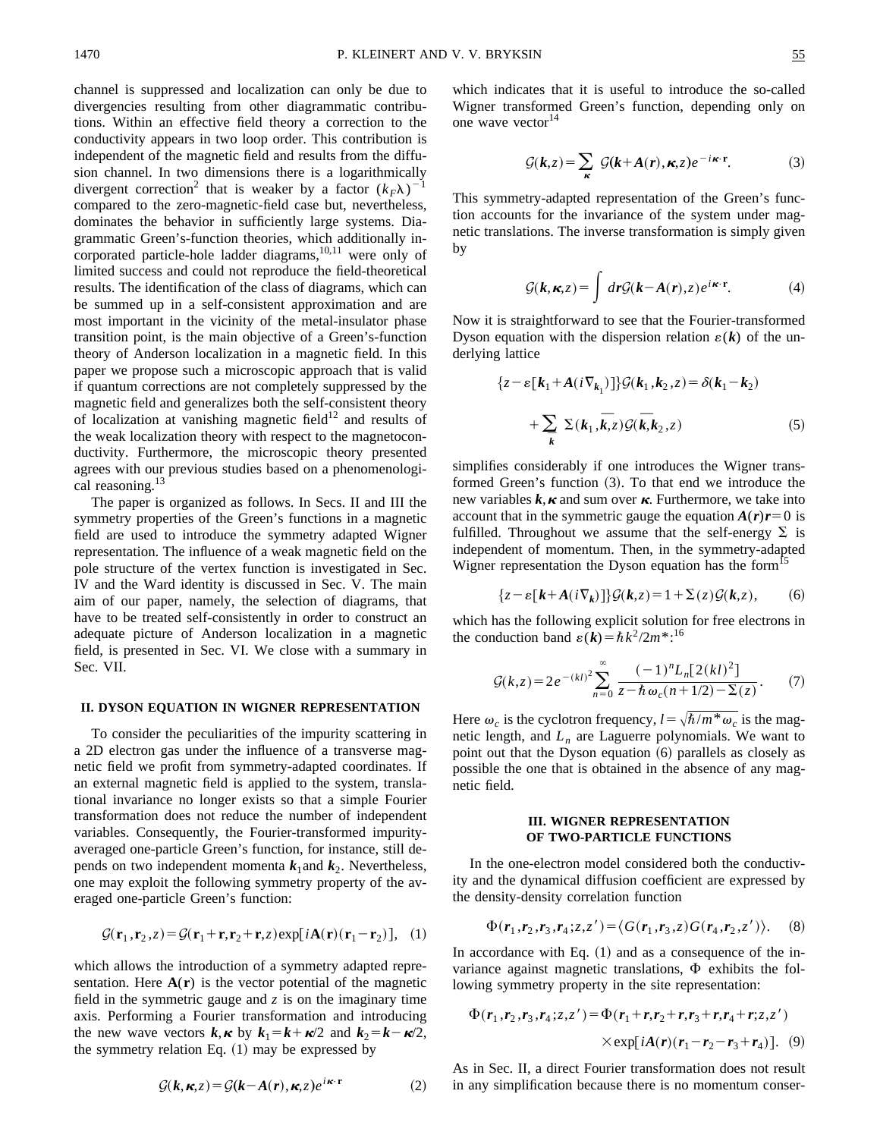channel is suppressed and localization can only be due to divergencies resulting from other diagrammatic contributions. Within an effective field theory a correction to the conductivity appears in two loop order. This contribution is independent of the magnetic field and results from the diffusion channel. In two dimensions there is a logarithmically divergent correction<sup>2</sup> that is weaker by a factor  $(k_F\lambda)^{-1}$ compared to the zero-magnetic-field case but, nevertheless, dominates the behavior in sufficiently large systems. Diagrammatic Green's-function theories, which additionally incorporated particle-hole ladder diagrams, $10,11$  were only of limited success and could not reproduce the field-theoretical results. The identification of the class of diagrams, which can be summed up in a self-consistent approximation and are most important in the vicinity of the metal-insulator phase transition point, is the main objective of a Green's-function theory of Anderson localization in a magnetic field. In this paper we propose such a microscopic approach that is valid if quantum corrections are not completely suppressed by the magnetic field and generalizes both the self-consistent theory of localization at vanishing magnetic field $12$  and results of the weak localization theory with respect to the magnetoconductivity. Furthermore, the microscopic theory presented agrees with our previous studies based on a phenomenological reasoning.<sup>13</sup>

The paper is organized as follows. In Secs. II and III the symmetry properties of the Green's functions in a magnetic field are used to introduce the symmetry adapted Wigner representation. The influence of a weak magnetic field on the pole structure of the vertex function is investigated in Sec. IV and the Ward identity is discussed in Sec. V. The main aim of our paper, namely, the selection of diagrams, that have to be treated self-consistently in order to construct an adequate picture of Anderson localization in a magnetic field, is presented in Sec. VI. We close with a summary in Sec. VII.

#### **II. DYSON EQUATION IN WIGNER REPRESENTATION**

To consider the peculiarities of the impurity scattering in a 2D electron gas under the influence of a transverse magnetic field we profit from symmetry-adapted coordinates. If an external magnetic field is applied to the system, translational invariance no longer exists so that a simple Fourier transformation does not reduce the number of independent variables. Consequently, the Fourier-transformed impurityaveraged one-particle Green's function, for instance, still depends on two independent momenta  $k_1$  and  $k_2$ . Nevertheless, one may exploit the following symmetry property of the averaged one-particle Green's function:

$$
\mathcal{G}(\mathbf{r}_1, \mathbf{r}_2, z) = \mathcal{G}(\mathbf{r}_1 + \mathbf{r}, \mathbf{r}_2 + \mathbf{r}, z) \exp[i\mathbf{A}(\mathbf{r})(\mathbf{r}_1 - \mathbf{r}_2)], \quad (1)
$$

which allows the introduction of a symmetry adapted representation. Here  $A(r)$  is the vector potential of the magnetic field in the symmetric gauge and *z* is on the imaginary time axis. Performing a Fourier transformation and introducing the new wave vectors  $k, \kappa$  by  $k_1 = k + \kappa/2$  and  $k_2 = k - \kappa/2$ , the symmetry relation Eq.  $(1)$  may be expressed by

$$
\mathcal{G}(\mathbf{k}, \mathbf{\kappa}, z) = \mathcal{G}(\mathbf{k} - \mathbf{A}(\mathbf{r}), \mathbf{\kappa}, z)e^{i\mathbf{\kappa} \cdot \mathbf{r}}
$$
 (2)

which indicates that it is useful to introduce the so-called Wigner transformed Green's function, depending only on one wave vector<sup>14</sup>

$$
\mathcal{G}(\mathbf{k}, z) = \sum_{\kappa} \mathcal{G}(\mathbf{k} + \mathbf{A}(\mathbf{r}), \kappa, z) e^{-i\kappa \cdot \mathbf{r}}.
$$
 (3)

This symmetry-adapted representation of the Green's function accounts for the invariance of the system under magnetic translations. The inverse transformation is simply given by

$$
\mathcal{G}(\mathbf{k}, \mathbf{\kappa}, z) = \int dr \mathcal{G}(\mathbf{k} - A(\mathbf{r}), z) e^{i\mathbf{\kappa} \cdot \mathbf{r}}.
$$
 (4)

Now it is straightforward to see that the Fourier-transformed Dyson equation with the dispersion relation  $\varepsilon(k)$  of the underlying lattice

$$
\{z - \varepsilon[k_1 + A(i\nabla_{k_1})]\}\mathcal{G}(k_1, k_2, z) = \delta(k_1 - k_2)
$$

$$
+ \sum_{\overline{k}} \Sigma(k_1, \overline{k}, z)\mathcal{G}(\overline{k}, k_2, z) \tag{5}
$$

simplifies considerably if one introduces the Wigner transformed Green's function  $(3)$ . To that end we introduce the new variables  $k, \kappa$  and sum over  $\kappa$ . Furthermore, we take into account that in the symmetric gauge the equation  $A(r)r=0$  is fulfilled. Throughout we assume that the self-energy  $\Sigma$  is independent of momentum. Then, in the symmetry-adapted Wigner representation the Dyson equation has the form $15$ 

$$
\{z - \varepsilon[k + A(i\nabla_k)]\}\mathcal{G}(k, z) = 1 + \Sigma(z)\mathcal{G}(k, z),\tag{6}
$$

which has the following explicit solution for free electrons in the conduction band  $\varepsilon(k) = \hbar k^2 / 2m^*$ :<sup>16</sup>

$$
\mathcal{G}(k,z) = 2e^{-(kl)^2} \sum_{n=0}^{\infty} \frac{(-1)^n L_n [2(kl)^2]}{z - \hbar \omega_c (n + 1/2) - \Sigma(z)}.
$$
 (7)

Here  $\omega_c$  is the cyclotron frequency,  $l = \sqrt{\hbar/m^* \omega_c}$  is the magnetic length, and  $L_n$  are Laguerre polynomials. We want to point out that the Dyson equation (6) parallels as closely as possible the one that is obtained in the absence of any magnetic field.

# **III. WIGNER REPRESENTATION OF TWO-PARTICLE FUNCTIONS**

In the one-electron model considered both the conductivity and the dynamical diffusion coefficient are expressed by the density-density correlation function

$$
\Phi(\mathbf{r}_1,\mathbf{r}_2,\mathbf{r}_3,\mathbf{r}_4;z,z') = \langle G(\mathbf{r}_1,\mathbf{r}_3,z)G(\mathbf{r}_4,\mathbf{r}_2,z') \rangle. \tag{8}
$$

In accordance with Eq.  $(1)$  and as a consequence of the invariance against magnetic translations,  $\Phi$  exhibits the following symmetry property in the site representation:

$$
\Phi(r_1, r_2, r_3, r_4; z, z') = \Phi(r_1 + r_1, r_2 + r_1, r_3 + r_1, r_4 + r_2; z')
$$
  
×
$$
\times \exp[iA(r)(r_1 - r_2 - r_3 + r_4)].
$$
 (9)

As in Sec. II, a direct Fourier transformation does not result in any simplification because there is no momentum conser-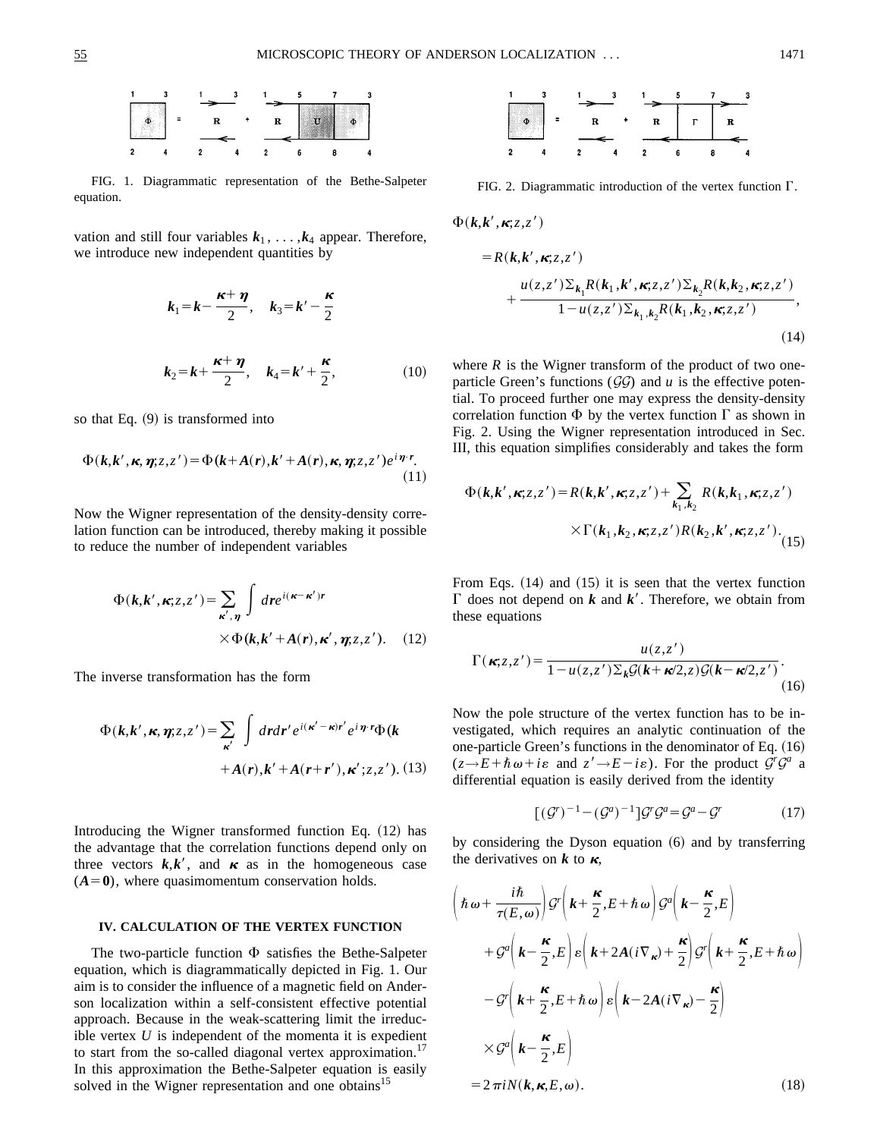

FIG. 1. Diagrammatic representation of the Bethe-Salpeter FIG. 1. Diagrammatic representation of the Bethe-Salpeter FIG. 2. Diagrammatic introduction of the vertex function  $\Gamma$ .<br>equation.

vation and still four variables  $k_1, \ldots, k_4$  appear. Therefore, we introduce new independent quantities by

$$
k_1 = k - \frac{\kappa + \eta}{2}, \quad k_3 = k' - \frac{\kappa}{2}
$$
  

$$
k_2 = k + \frac{\kappa + \eta}{2}, \quad k_4 = k' + \frac{\kappa}{2}, \quad (10)
$$

so that Eq.  $(9)$  is transformed into

$$
\Phi(k, k', \kappa, \eta; z, z') = \Phi(k + A(r), k' + A(r), \kappa, \eta; z, z')e^{i \eta \cdot r}.
$$
\n(11)

Now the Wigner representation of the density-density correlation function can be introduced, thereby making it possible to reduce the number of independent variables

$$
\Phi(k, k', \kappa; z, z') = \sum_{\kappa', \eta} \int dr e^{i(\kappa - \kappa')r}
$$

$$
\times \Phi(k, k' + A(r), \kappa', \eta; z, z'). \quad (12)
$$

The inverse transformation has the form

$$
\Phi(k, k', \kappa, \eta; z, z') = \sum_{\kappa'} \int dr dr' e^{i(\kappa' - \kappa)r'} e^{i\eta \cdot r} \Phi(k + A(r), k' + A(r+r'), \kappa'; z, z').
$$
 (13)

Introducing the Wigner transformed function Eq.  $(12)$  has the advantage that the correlation functions depend only on three vectors  $k, k'$ , and  $\kappa$  as in the homogeneous case  $(A=0)$ , where quasimomentum conservation holds.

## **IV. CALCULATION OF THE VERTEX FUNCTION**

The two-particle function  $\Phi$  satisfies the Bethe-Salpeter equation, which is diagrammatically depicted in Fig. 1. Our aim is to consider the influence of a magnetic field on Anderson localization within a self-consistent effective potential approach. Because in the weak-scattering limit the irreducible vertex *U* is independent of the momenta it is expedient to start from the so-called diagonal vertex approximation.<sup>17</sup> In this approximation the Bethe-Salpeter equation is easily solved in the Wigner representation and one obtains<sup>15</sup>



$$
\Phi(k, k', \kappa, z, z')
$$
\n
$$
= R(k, k', \kappa, z, z')
$$
\n
$$
+ \frac{u(z, z')\Sigma_{k_1}R(k_1, k', \kappa, z, z')\Sigma_{k_2}R(k, k_2, \kappa, z, z')}{1 - u(z, z')\Sigma_{k_1, k_2}R(k_1, k_2, \kappa, z, z')}
$$
\n(14)

where  $R$  is the Wigner transform of the product of two oneparticle Green's functions  $(\mathcal{G}\mathcal{G})$  and  $u$  is the effective potential. To proceed further one may express the density-density correlation function  $\Phi$  by the vertex function  $\Gamma$  as shown in Fig. 2. Using the Wigner representation introduced in Sec. III, this equation simplifies considerably and takes the form

$$
\Phi(k,k',\kappa;z,z') = R(k,k',\kappa;z,z') + \sum_{k_1,k_2} R(k,k_1,\kappa;z,z')
$$

$$
\times \Gamma(k_1,k_2,\kappa;z,z')R(k_2,k',\kappa;z,z').
$$
(15)

From Eqs.  $(14)$  and  $(15)$  it is seen that the vertex function  $\Gamma$  does not depend on  $k$  and  $k'$ . Therefore, we obtain from these equations

$$
\Gamma(\boldsymbol{\kappa};z,z') = \frac{u(z,z')}{1 - u(z,z')\Sigma_k \mathcal{G}(k + \boldsymbol{\kappa}/2,z)\mathcal{G}(k - \boldsymbol{\kappa}/2,z')}.
$$
\n(16)

Now the pole structure of the vertex function has to be investigated, which requires an analytic continuation of the one-particle Green's functions in the denominator of Eq.  $(16)$  $(z \rightarrow E + \hbar \omega + i\varepsilon$  and  $z' \rightarrow E - i\varepsilon$ ). For the product  $\mathcal{G}^r \mathcal{G}^a$  a differential equation is easily derived from the identity

$$
[(\mathcal{G}^r)^{-1} - (\mathcal{G}^a)^{-1}]\mathcal{G}^r\mathcal{G}^a = \mathcal{G}^a - \mathcal{G}^r
$$
 (17)

by considering the Dyson equation (6) and by transferring the derivatives on  $k$  to  $\kappa$ ,

$$
\left(\hbar \omega + \frac{i\hbar}{\tau(E,\omega)}\right) \mathcal{G}^r \left(\mathbf{k} + \frac{\kappa}{2}, E + \hbar \omega\right) \mathcal{G}^a \left(\mathbf{k} - \frac{\kappa}{2}, E\right) \n+ \mathcal{G}^a \left(\mathbf{k} - \frac{\kappa}{2}, E\right) \mathcal{E} \left(\mathbf{k} + 2A(i\nabla_{\kappa}) + \frac{\kappa}{2}\right) \mathcal{G}^r \left(\mathbf{k} + \frac{\kappa}{2}, E + \hbar \omega\right) \n- \mathcal{G}^r \left(\mathbf{k} + \frac{\kappa}{2}, E + \hbar \omega\right) \mathcal{E} \left(\mathbf{k} - 2A(i\nabla_{\kappa}) - \frac{\kappa}{2}\right) \n\times \mathcal{G}^a \left(\mathbf{k} - \frac{\kappa}{2}, E\right) \n= 2\pi i N(\mathbf{k}, \mathbf{\kappa}, E, \omega).
$$
\n(18)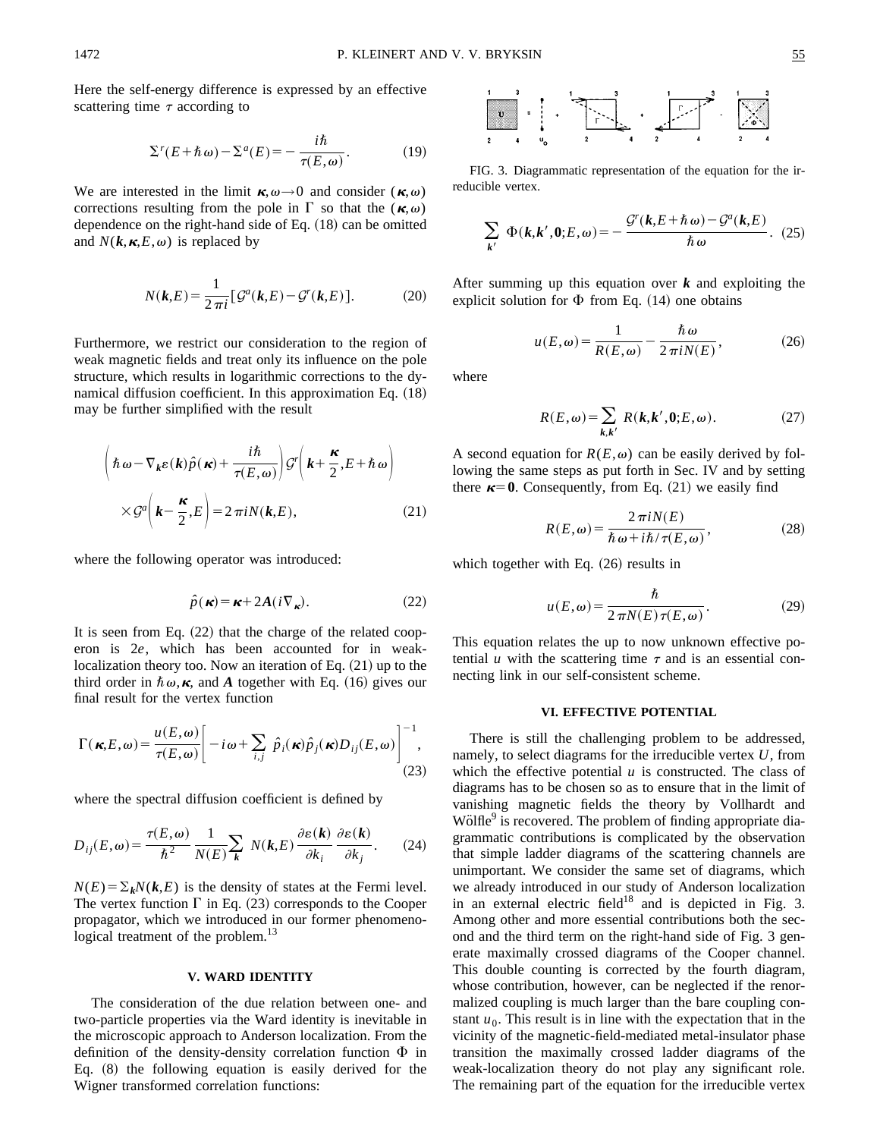Here the self-energy difference is expressed by an effective scattering time  $\tau$  according to

$$
\Sigma^{r}(E+\hbar\omega)-\Sigma^{a}(E)=-\frac{i\hbar}{\tau(E,\omega)}.
$$
 (19)

We are interested in the limit  $\kappa, \omega \rightarrow 0$  and consider ( $\kappa, \omega$ ) corrections resulting from the pole in  $\Gamma$  so that the  $(\kappa,\omega)$ dependence on the right-hand side of Eq.  $(18)$  can be omitted and  $N(k, \kappa, E, \omega)$  is replaced by

$$
N(\boldsymbol{k}, E) = \frac{1}{2\pi i} \left[ \mathcal{G}^a(\boldsymbol{k}, E) - \mathcal{G}^r(\boldsymbol{k}, E) \right].
$$
 (20)

Furthermore, we restrict our consideration to the region of weak magnetic fields and treat only its influence on the pole structure, which results in logarithmic corrections to the dynamical diffusion coefficient. In this approximation Eq.  $(18)$ may be further simplified with the result

$$
\left(\hbar\omega - \nabla_{k}\varepsilon(k)\hat{p}(\kappa) + \frac{i\hbar}{\tau(E,\omega)}\right) \mathcal{G}'\left(k + \frac{\kappa}{2}, E + \hbar\omega\right) \times \mathcal{G}^{a}\left(k - \frac{\kappa}{2}, E\right) = 2\pi i N(k, E),
$$
\n(21)

where the following operator was introduced:

$$
\hat{p}(\kappa) = \kappa + 2A(i\nabla_{\kappa}).
$$
\n(22)

It is seen from Eq.  $(22)$  that the charge of the related cooperon is 2*e*, which has been accounted for in weaklocalization theory too. Now an iteration of Eq.  $(21)$  up to the third order in  $\hbar \omega, \kappa$ , and *A* together with Eq. (16) gives our final result for the vertex function

$$
\Gamma(\boldsymbol{\kappa},E,\omega) = \frac{u(E,\omega)}{\tau(E,\omega)} \bigg[ -i\,\omega + \sum_{i,j} \hat{p}_i(\boldsymbol{\kappa}) \hat{p}_j(\boldsymbol{\kappa}) D_{ij}(E,\omega) \bigg]^{-1},
$$
\n(23)

where the spectral diffusion coefficient is defined by

$$
D_{ij}(E,\omega) = \frac{\tau(E,\omega)}{\hbar^2} \frac{1}{N(E)} \sum_{\mathbf{k}} N(\mathbf{k},E) \frac{\partial \varepsilon(\mathbf{k})}{\partial k_i} \frac{\partial \varepsilon(\mathbf{k})}{\partial k_j}.
$$
 (24)

 $N(E) = \sum_k N(k, E)$  is the density of states at the Fermi level. The vertex function  $\Gamma$  in Eq. (23) corresponds to the Cooper propagator, which we introduced in our former phenomenological treatment of the problem.<sup>13</sup>

#### **V. WARD IDENTITY**

The consideration of the due relation between one- and two-particle properties via the Ward identity is inevitable in the microscopic approach to Anderson localization. From the definition of the density-density correlation function  $\Phi$  in Eq.  $(8)$  the following equation is easily derived for the Wigner transformed correlation functions:



FIG. 3. Diagrammatic representation of the equation for the irreducible vertex.

$$
\sum_{k'} \Phi(k, k', 0; E, \omega) = -\frac{\mathcal{G}^r(k, E + \hbar \omega) - \mathcal{G}^a(k, E)}{\hbar \omega}.
$$
 (25)

After summing up this equation over *k* and exploiting the explicit solution for  $\Phi$  from Eq. (14) one obtains

$$
u(E,\omega) = \frac{1}{R(E,\omega)} - \frac{\hbar\omega}{2\pi i N(E)},
$$
 (26)

where

$$
R(E,\omega) = \sum_{k,k'} R(k,k',0;E,\omega). \tag{27}
$$

A second equation for  $R(E,\omega)$  can be easily derived by following the same steps as put forth in Sec. IV and by setting there  $\kappa=0$ . Consequently, from Eq. (21) we easily find

$$
R(E,\omega) = \frac{2\pi i N(E)}{\hbar \omega + i\hbar / \tau(E,\omega)},
$$
\n(28)

which together with Eq.  $(26)$  results in

$$
u(E,\omega) = \frac{\hbar}{2\,\pi N(E)\,\tau(E,\omega)}.\tag{29}
$$

This equation relates the up to now unknown effective potential  $u$  with the scattering time  $\tau$  and is an essential connecting link in our self-consistent scheme.

## **VI. EFFECTIVE POTENTIAL**

There is still the challenging problem to be addressed, namely, to select diagrams for the irreducible vertex *U*, from which the effective potential *u* is constructed. The class of diagrams has to be chosen so as to ensure that in the limit of vanishing magnetic fields the theory by Vollhardt and Wölfle<sup>9</sup> is recovered. The problem of finding appropriate diagrammatic contributions is complicated by the observation that simple ladder diagrams of the scattering channels are unimportant. We consider the same set of diagrams, which we already introduced in our study of Anderson localization in an external electric field<sup>18</sup> and is depicted in Fig. 3. Among other and more essential contributions both the second and the third term on the right-hand side of Fig. 3 generate maximally crossed diagrams of the Cooper channel. This double counting is corrected by the fourth diagram, whose contribution, however, can be neglected if the renormalized coupling is much larger than the bare coupling constant  $u_0$ . This result is in line with the expectation that in the vicinity of the magnetic-field-mediated metal-insulator phase transition the maximally crossed ladder diagrams of the weak-localization theory do not play any significant role. The remaining part of the equation for the irreducible vertex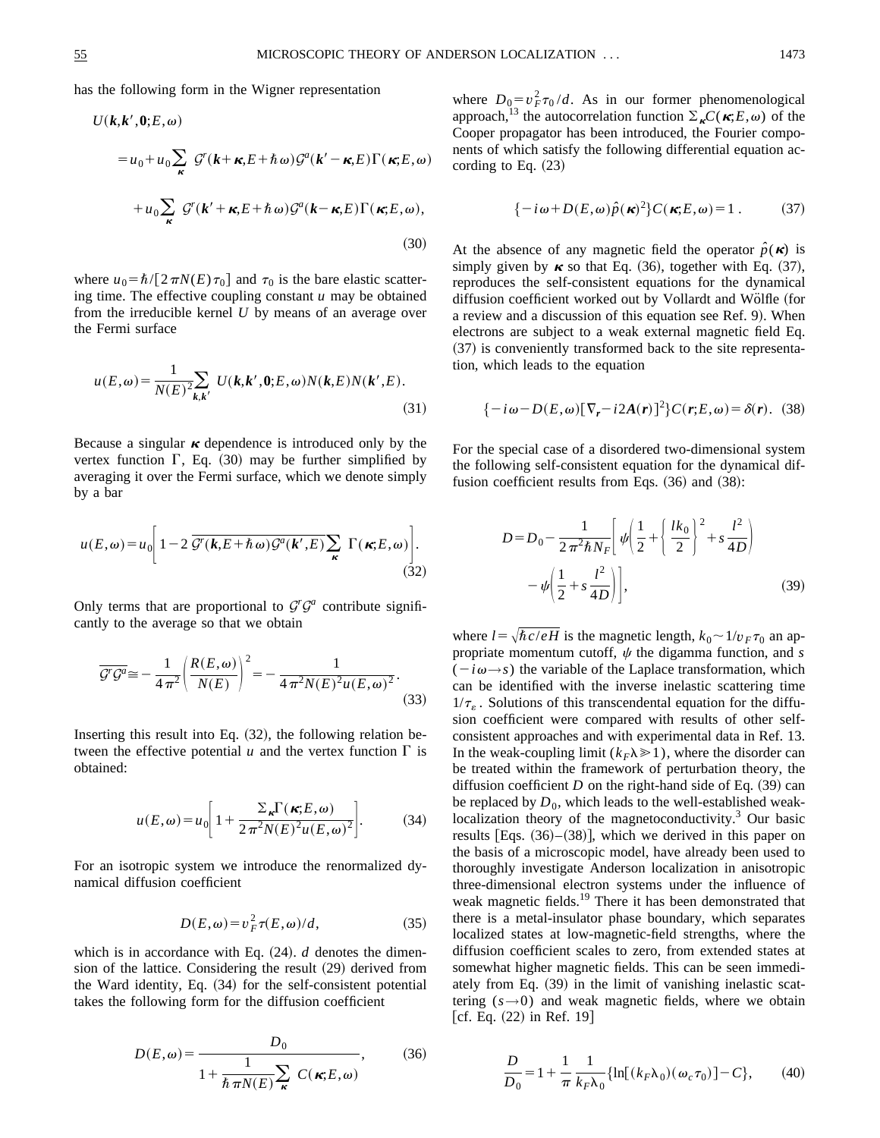has the following form in the Wigner representation

$$
U(k, k', 0; E, \omega)
$$
  
\n
$$
= u_0 + u_0 \sum_{\kappa} G^r(k + \kappa, E + \hbar \omega) G^a(k' - \kappa, E) \Gamma(\kappa, E, \omega)
$$
  
\n
$$
+ u_0 \sum_{\kappa} G^r(k' + \kappa, E + \hbar \omega) G^a(k - \kappa, E) \Gamma(\kappa, E, \omega),
$$
  
\n(30)

where  $u_0 = \hbar/[2\pi N(E)\tau_0]$  and  $\tau_0$  is the bare elastic scattering time. The effective coupling constant *u* may be obtained from the irreducible kernel *U* by means of an average over the Fermi surface

$$
u(E,\omega) = \frac{1}{N(E)^2} \sum_{k,k'} U(k,k',0;E,\omega) N(k,E) N(k',E).
$$
\n(31)

Because a singular  $\kappa$  dependence is introduced only by the vertex function  $\Gamma$ , Eq. (30) may be further simplified by averaging it over the Fermi surface, which we denote simply by a bar

$$
u(E,\omega) = u_0 \left[ 1 - 2 \overline{\mathcal{G}'(k,E + \hbar \omega) \mathcal{G}^a(k',E)} \sum_{\kappa} \Gamma(\kappa;E,\omega) \right].
$$
\n(32)

Only terms that are proportional to  $\mathcal{G}^r \mathcal{G}^a$  contribute significantly to the average so that we obtain

$$
\overline{\mathcal{G}^r \mathcal{G}^a} \cong -\frac{1}{4\pi^2} \left( \frac{R(E,\omega)}{N(E)} \right)^2 = -\frac{1}{4\pi^2 N(E)^2 u(E,\omega)^2}.
$$
\n(33)

Inserting this result into Eq.  $(32)$ , the following relation between the effective potential  $u$  and the vertex function  $\Gamma$  is obtained:

$$
u(E,\omega) = u_0 \left[ 1 + \frac{\Sigma_{\kappa} \Gamma(\kappa;E,\omega)}{2 \pi^2 N(E)^2 u(E,\omega)^2} \right].
$$
 (34)

For an isotropic system we introduce the renormalized dynamical diffusion coefficient

$$
D(E,\omega) = v_F^2 \tau(E,\omega)/d, \qquad (35)
$$

which is in accordance with Eq.  $(24)$ . *d* denotes the dimension of the lattice. Considering the result  $(29)$  derived from the Ward identity, Eq.  $(34)$  for the self-consistent potential takes the following form for the diffusion coefficient

$$
D(E,\omega) = \frac{D_0}{1 + \frac{1}{\hbar \pi N(E)} \sum_{\kappa} C(\kappa;E,\omega)},
$$
(36)

where  $D_0 = v_F^2 \tau_0 / d$ . As in our former phenomenological approach,<sup>13</sup> the autocorrelation function  $\Sigma_{\kappa}C(\kappa;E,\omega)$  of the Cooper propagator has been introduced, the Fourier components of which satisfy the following differential equation according to Eq.  $(23)$ 

$$
\{-i\omega + D(E,\omega)\hat{p}(\mathbf{\kappa})^2\}C(\mathbf{\kappa};E,\omega) = 1.
$$
 (37)

At the absence of any magnetic field the operator  $\hat{p}(\mathbf{k})$  is simply given by  $\kappa$  so that Eq. (36), together with Eq. (37), reproduces the self-consistent equations for the dynamical diffusion coefficient worked out by Vollardt and Wölfle (for a review and a discussion of this equation see Ref. 9). When electrons are subject to a weak external magnetic field Eq.  $(37)$  is conveniently transformed back to the site representation, which leads to the equation

$$
\{-i\omega - D(E,\omega)[\nabla_r - i2A(r)]^2\}C(r;E,\omega) = \delta(r). \tag{38}
$$

For the special case of a disordered two-dimensional system the following self-consistent equation for the dynamical diffusion coefficient results from Eqs.  $(36)$  and  $(38)$ :

$$
D = D_0 - \frac{1}{2\pi^2 \hbar N_F} \left[ \psi \left( \frac{1}{2} + \left\{ \frac{lk_0}{2} \right\}^2 + s \frac{l^2}{4D} \right) - \psi \left( \frac{1}{2} + s \frac{l^2}{4D} \right) \right],
$$
\n(39)

where  $l = \sqrt{\hbar c/eH}$  is the magnetic length,  $k_0 \sim 1/v_F \tau_0$  an appropriate momentum cutoff,  $\psi$  the digamma function, and *s*  $(-i\omega \rightarrow s)$  the variable of the Laplace transformation, which can be identified with the inverse inelastic scattering time  $1/\tau_{\epsilon}$ . Solutions of this transcendental equation for the diffusion coefficient were compared with results of other selfconsistent approaches and with experimental data in Ref. 13. In the weak-coupling limit  $(k_F\lambda \geq 1)$ , where the disorder can be treated within the framework of perturbation theory, the diffusion coefficient  $D$  on the right-hand side of Eq.  $(39)$  can be replaced by  $D_0$ , which leads to the well-established weaklocalization theory of the magnetoconductivity.<sup>3</sup> Our basic results [Eqs.  $(36)–(38)$ ], which we derived in this paper on the basis of a microscopic model, have already been used to thoroughly investigate Anderson localization in anisotropic three-dimensional electron systems under the influence of weak magnetic fields.<sup>19</sup> There it has been demonstrated that there is a metal-insulator phase boundary, which separates localized states at low-magnetic-field strengths, where the diffusion coefficient scales to zero, from extended states at somewhat higher magnetic fields. This can be seen immediately from Eq.  $(39)$  in the limit of vanishing inelastic scattering  $(s\rightarrow 0)$  and weak magnetic fields, where we obtain  $[cf. Eq. (22) in Ref. 19]$ 

$$
\frac{D}{D_0} = 1 + \frac{1}{\pi} \frac{1}{k_F \lambda_0} \{ \ln[(k_F \lambda_0)(\omega_c \tau_0)] - C \},
$$
 (40)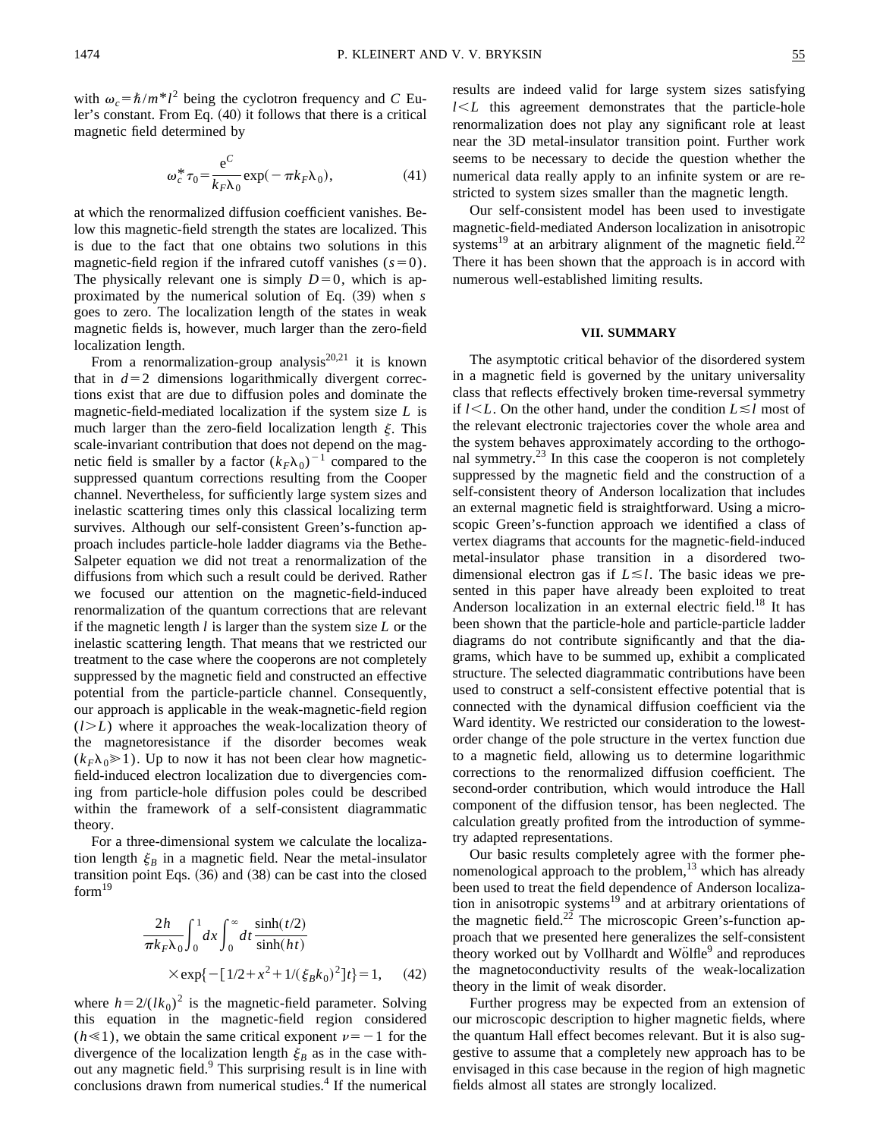with  $\omega_c = \hbar/m^*l^2$  being the cyclotron frequency and *C* Euler's constant. From Eq.  $(40)$  it follows that there is a critical magnetic field determined by

$$
\omega_c^* \tau_0 = \frac{e^C}{k_F \lambda_0} \exp(-\pi k_F \lambda_0),\tag{41}
$$

at which the renormalized diffusion coefficient vanishes. Below this magnetic-field strength the states are localized. This is due to the fact that one obtains two solutions in this magnetic-field region if the infrared cutoff vanishes  $(s=0)$ . The physically relevant one is simply  $D=0$ , which is approximated by the numerical solution of Eq.  $(39)$  when *s* goes to zero. The localization length of the states in weak magnetic fields is, however, much larger than the zero-field localization length.

From a renormalization-group analysis<sup>20,21</sup> it is known that in  $d=2$  dimensions logarithmically divergent corrections exist that are due to diffusion poles and dominate the magnetic-field-mediated localization if the system size *L* is much larger than the zero-field localization length  $\xi$ . This scale-invariant contribution that does not depend on the magnetic field is smaller by a factor  $(k_F\lambda_0)^{-1}$  compared to the suppressed quantum corrections resulting from the Cooper channel. Nevertheless, for sufficiently large system sizes and inelastic scattering times only this classical localizing term survives. Although our self-consistent Green's-function approach includes particle-hole ladder diagrams via the Bethe-Salpeter equation we did not treat a renormalization of the diffusions from which such a result could be derived. Rather we focused our attention on the magnetic-field-induced renormalization of the quantum corrections that are relevant if the magnetic length *l* is larger than the system size *L* or the inelastic scattering length. That means that we restricted our treatment to the case where the cooperons are not completely suppressed by the magnetic field and constructed an effective potential from the particle-particle channel. Consequently, our approach is applicable in the weak-magnetic-field region  $(l>L)$  where it approaches the weak-localization theory of the magnetoresistance if the disorder becomes weak  $(k_F\lambda_0\geq 1)$ . Up to now it has not been clear how magneticfield-induced electron localization due to divergencies coming from particle-hole diffusion poles could be described within the framework of a self-consistent diagrammatic theory.

For a three-dimensional system we calculate the localization length  $\xi_B$  in a magnetic field. Near the metal-insulator transition point Eqs.  $(36)$  and  $(38)$  can be cast into the closed  $form<sup>19</sup>$ 

$$
\frac{2h}{\pi k_F \lambda_0} \int_0^1 dx \int_0^\infty dt \frac{\sinh(t/2)}{\sinh(ht)} \times \exp\{-\left[1/2 + x^2 + 1/(\xi_B k_0)^2\right]t\} = 1, \quad (42)
$$

where  $h=2/(lk_0)^2$  is the magnetic-field parameter. Solving this equation in the magnetic-field region considered  $(h \le 1)$ , we obtain the same critical exponent  $\nu=-1$  for the divergence of the localization length  $\xi_B$  as in the case without any magnetic field.<sup>9</sup> This surprising result is in line with conclusions drawn from numerical studies.<sup>4</sup> If the numerical results are indeed valid for large system sizes satisfying  $l < L$  this agreement demonstrates that the particle-hole renormalization does not play any significant role at least near the 3D metal-insulator transition point. Further work seems to be necessary to decide the question whether the numerical data really apply to an infinite system or are restricted to system sizes smaller than the magnetic length.

Our self-consistent model has been used to investigate magnetic-field-mediated Anderson localization in anisotropic systems<sup>19</sup> at an arbitrary alignment of the magnetic field.<sup>22</sup> There it has been shown that the approach is in accord with numerous well-established limiting results.

#### **VII. SUMMARY**

The asymptotic critical behavior of the disordered system in a magnetic field is governed by the unitary universality class that reflects effectively broken time-reversal symmetry if  $l \leq L$ . On the other hand, under the condition  $L \leq l$  most of the relevant electronic trajectories cover the whole area and the system behaves approximately according to the orthogonal symmetry. $23$  In this case the cooperon is not completely suppressed by the magnetic field and the construction of a self-consistent theory of Anderson localization that includes an external magnetic field is straightforward. Using a microscopic Green's-function approach we identified a class of vertex diagrams that accounts for the magnetic-field-induced metal-insulator phase transition in a disordered twodimensional electron gas if  $L \le l$ . The basic ideas we presented in this paper have already been exploited to treat Anderson localization in an external electric field.<sup>18</sup> It has been shown that the particle-hole and particle-particle ladder diagrams do not contribute significantly and that the diagrams, which have to be summed up, exhibit a complicated structure. The selected diagrammatic contributions have been used to construct a self-consistent effective potential that is connected with the dynamical diffusion coefficient via the Ward identity. We restricted our consideration to the lowestorder change of the pole structure in the vertex function due to a magnetic field, allowing us to determine logarithmic corrections to the renormalized diffusion coefficient. The second-order contribution, which would introduce the Hall component of the diffusion tensor, has been neglected. The calculation greatly profited from the introduction of symmetry adapted representations.

Our basic results completely agree with the former phenomenological approach to the problem,<sup>13</sup> which has already been used to treat the field dependence of Anderson localization in anisotropic systems<sup>19</sup> and at arbitrary orientations of the magnetic field.<sup>22</sup> The microscopic Green's-function approach that we presented here generalizes the self-consistent theory worked out by Vollhardt and Wölfle<sup>9</sup> and reproduces the magnetoconductivity results of the weak-localization theory in the limit of weak disorder.

Further progress may be expected from an extension of our microscopic description to higher magnetic fields, where the quantum Hall effect becomes relevant. But it is also suggestive to assume that a completely new approach has to be envisaged in this case because in the region of high magnetic fields almost all states are strongly localized.